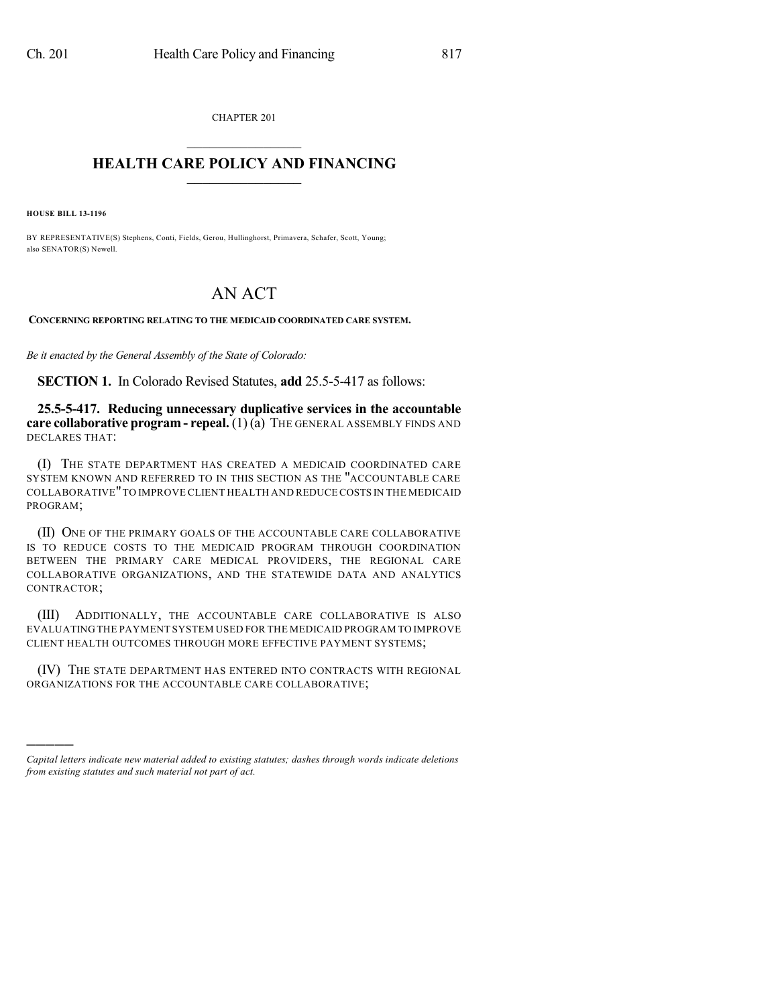CHAPTER 201  $\overline{\phantom{a}}$  . The set of the set of the set of the set of the set of the set of the set of the set of the set of the set of the set of the set of the set of the set of the set of the set of the set of the set of the set o

## **HEALTH CARE POLICY AND FINANCING**  $\_$   $\_$   $\_$   $\_$   $\_$   $\_$   $\_$   $\_$

**HOUSE BILL 13-1196**

)))))

BY REPRESENTATIVE(S) Stephens, Conti, Fields, Gerou, Hullinghorst, Primavera, Schafer, Scott, Young; also SENATOR(S) Newell.

## AN ACT

**CONCERNING REPORTING RELATING TO THE MEDICAID COORDINATED CARE SYSTEM.**

*Be it enacted by the General Assembly of the State of Colorado:*

**SECTION 1.** In Colorado Revised Statutes, **add** 25.5-5-417 as follows:

**25.5-5-417. Reducing unnecessary duplicative services in the accountable care collaborative program - repeal.** (1) (a) THE GENERAL ASSEMBLY FINDS AND DECLARES THAT:

(I) THE STATE DEPARTMENT HAS CREATED A MEDICAID COORDINATED CARE SYSTEM KNOWN AND REFERRED TO IN THIS SECTION AS THE "ACCOUNTABLE CARE COLLABORATIVE"TO IMPROVE CLIENT HEALTH AND REDUCE COSTS IN THE MEDICAID PROGRAM;

(II) ONE OF THE PRIMARY GOALS OF THE ACCOUNTABLE CARE COLLABORATIVE IS TO REDUCE COSTS TO THE MEDICAID PROGRAM THROUGH COORDINATION BETWEEN THE PRIMARY CARE MEDICAL PROVIDERS, THE REGIONAL CARE COLLABORATIVE ORGANIZATIONS, AND THE STATEWIDE DATA AND ANALYTICS CONTRACTOR;

(III) ADDITIONALLY, THE ACCOUNTABLE CARE COLLABORATIVE IS ALSO EVALUATING THE PAYMENT SYSTEM USED FOR THE MEDICAID PROGRAM TO IMPROVE CLIENT HEALTH OUTCOMES THROUGH MORE EFFECTIVE PAYMENT SYSTEMS;

(IV) THE STATE DEPARTMENT HAS ENTERED INTO CONTRACTS WITH REGIONAL ORGANIZATIONS FOR THE ACCOUNTABLE CARE COLLABORATIVE;

*Capital letters indicate new material added to existing statutes; dashes through words indicate deletions from existing statutes and such material not part of act.*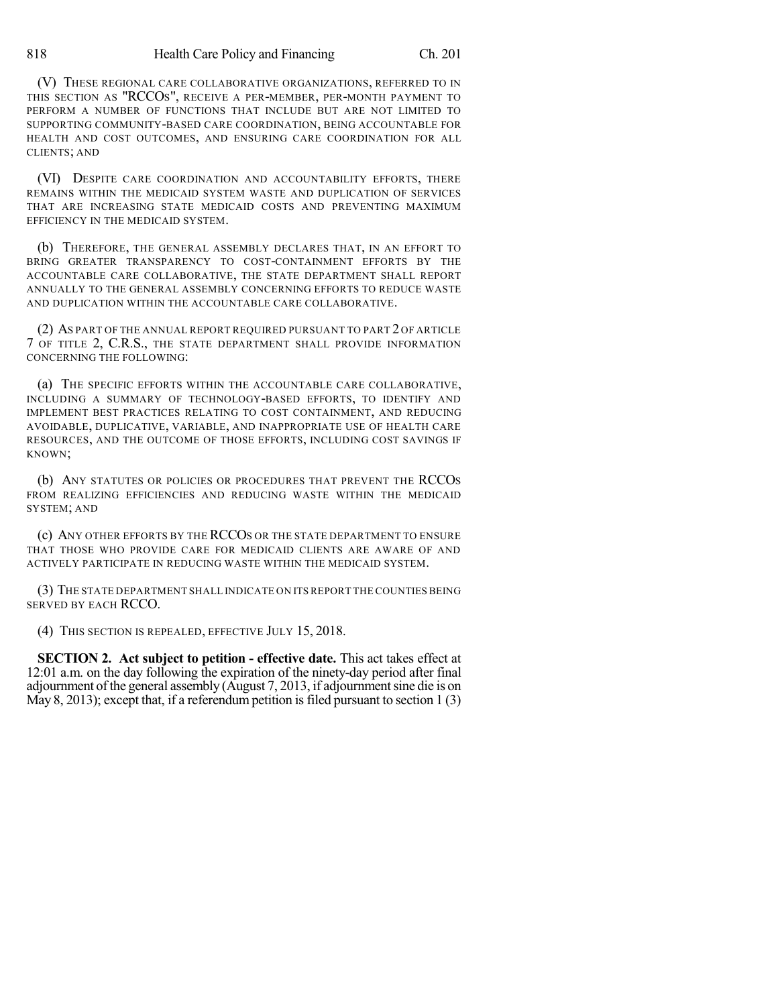(V) THESE REGIONAL CARE COLLABORATIVE ORGANIZATIONS, REFERRED TO IN THIS SECTION AS "RCCOS", RECEIVE A PER-MEMBER, PER-MONTH PAYMENT TO PERFORM A NUMBER OF FUNCTIONS THAT INCLUDE BUT ARE NOT LIMITED TO SUPPORTING COMMUNITY-BASED CARE COORDINATION, BEING ACCOUNTABLE FOR HEALTH AND COST OUTCOMES, AND ENSURING CARE COORDINATION FOR ALL CLIENTS; AND

(VI) DESPITE CARE COORDINATION AND ACCOUNTABILITY EFFORTS, THERE REMAINS WITHIN THE MEDICAID SYSTEM WASTE AND DUPLICATION OF SERVICES THAT ARE INCREASING STATE MEDICAID COSTS AND PREVENTING MAXIMUM EFFICIENCY IN THE MEDICAID SYSTEM.

(b) THEREFORE, THE GENERAL ASSEMBLY DECLARES THAT, IN AN EFFORT TO BRING GREATER TRANSPARENCY TO COST-CONTAINMENT EFFORTS BY THE ACCOUNTABLE CARE COLLABORATIVE, THE STATE DEPARTMENT SHALL REPORT ANNUALLY TO THE GENERAL ASSEMBLY CONCERNING EFFORTS TO REDUCE WASTE AND DUPLICATION WITHIN THE ACCOUNTABLE CARE COLLABORATIVE.

(2) AS PART OF THE ANNUAL REPORT REQUIRED PURSUANT TO PART 2 OF ARTICLE 7 OF TITLE 2, C.R.S., THE STATE DEPARTMENT SHALL PROVIDE INFORMATION CONCERNING THE FOLLOWING:

(a) THE SPECIFIC EFFORTS WITHIN THE ACCOUNTABLE CARE COLLABORATIVE, INCLUDING A SUMMARY OF TECHNOLOGY-BASED EFFORTS, TO IDENTIFY AND IMPLEMENT BEST PRACTICES RELATING TO COST CONTAINMENT, AND REDUCING AVOIDABLE, DUPLICATIVE, VARIABLE, AND INAPPROPRIATE USE OF HEALTH CARE RESOURCES, AND THE OUTCOME OF THOSE EFFORTS, INCLUDING COST SAVINGS IF KNOWN;

(b) ANY STATUTES OR POLICIES OR PROCEDURES THAT PREVENT THE RCCOS FROM REALIZING EFFICIENCIES AND REDUCING WASTE WITHIN THE MEDICAID SYSTEM; AND

(c) ANY OTHER EFFORTS BY THE RCCOS OR THE STATE DEPARTMENT TO ENSURE THAT THOSE WHO PROVIDE CARE FOR MEDICAID CLIENTS ARE AWARE OF AND ACTIVELY PARTICIPATE IN REDUCING WASTE WITHIN THE MEDICAID SYSTEM.

(3) THE STATE DEPARTMENT SHALL INDICATE ON ITS REPORT THE COUNTIES BEING SERVED BY EACH RCCO.

(4) THIS SECTION IS REPEALED, EFFECTIVE JULY 15, 2018.

**SECTION 2. Act subject to petition - effective date.** This act takes effect at 12:01 a.m. on the day following the expiration of the ninety-day period after final adjournment ofthe general assembly (August 7, 2013, if adjournmentsine die is on May 8, 2013); except that, if a referendum petition is filed pursuant to section 1 (3)